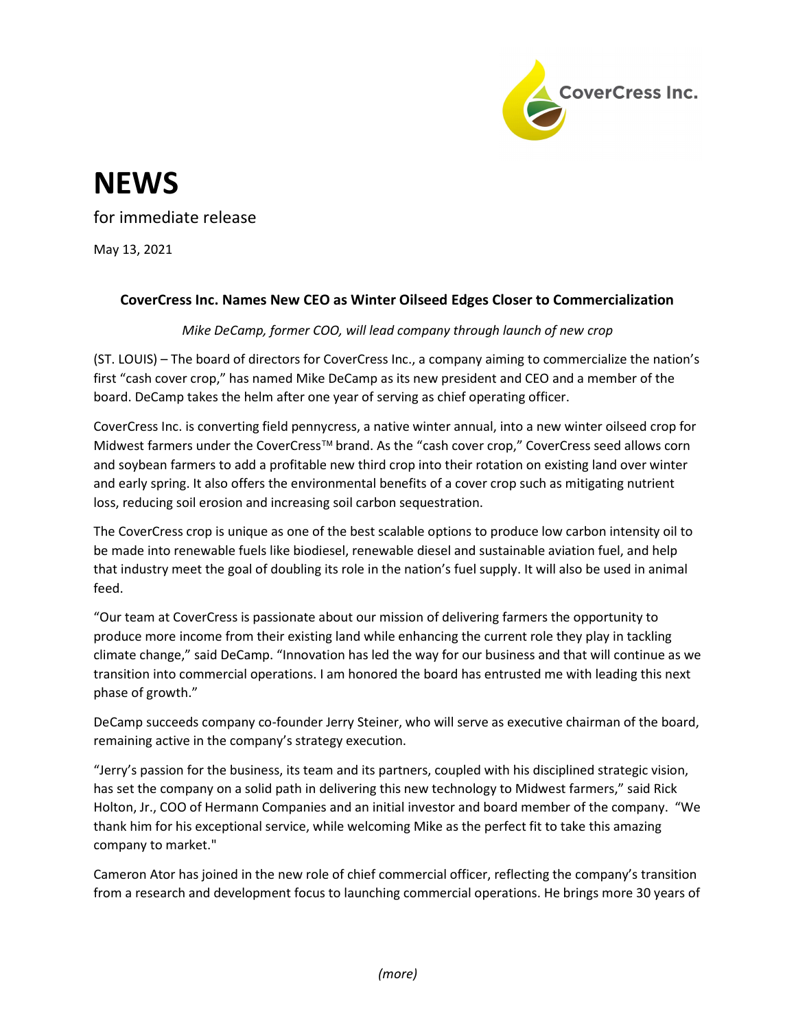

## **NEWS**

for immediate release

May 13, 2021

## CoverCress Inc. Names New CEO as Winter Oilseed Edges Closer to Commercialization

Mike DeCamp, former COO, will lead company through launch of new crop

(ST. LOUIS) – The board of directors for CoverCress Inc., a company aiming to commercialize the nation's first "cash cover crop," has named Mike DeCamp as its new president and CEO and a member of the board. DeCamp takes the helm after one year of serving as chief operating officer.

CoverCress Inc. is converting field pennycress, a native winter annual, into a new winter oilseed crop for Midwest farmers under the CoverCress™ brand. As the "cash cover crop," CoverCress seed allows corn and soybean farmers to add a profitable new third crop into their rotation on existing land over winter and early spring. It also offers the environmental benefits of a cover crop such as mitigating nutrient loss, reducing soil erosion and increasing soil carbon sequestration.

The CoverCress crop is unique as one of the best scalable options to produce low carbon intensity oil to be made into renewable fuels like biodiesel, renewable diesel and sustainable aviation fuel, and help that industry meet the goal of doubling its role in the nation's fuel supply. It will also be used in animal feed.

"Our team at CoverCress is passionate about our mission of delivering farmers the opportunity to produce more income from their existing land while enhancing the current role they play in tackling climate change," said DeCamp. "Innovation has led the way for our business and that will continue as we transition into commercial operations. I am honored the board has entrusted me with leading this next phase of growth."

DeCamp succeeds company co-founder Jerry Steiner, who will serve as executive chairman of the board, remaining active in the company's strategy execution.

"Jerry's passion for the business, its team and its partners, coupled with his disciplined strategic vision, has set the company on a solid path in delivering this new technology to Midwest farmers," said Rick Holton, Jr., COO of Hermann Companies and an initial investor and board member of the company. "We thank him for his exceptional service, while welcoming Mike as the perfect fit to take this amazing company to market."

Cameron Ator has joined in the new role of chief commercial officer, reflecting the company's transition from a research and development focus to launching commercial operations. He brings more 30 years of